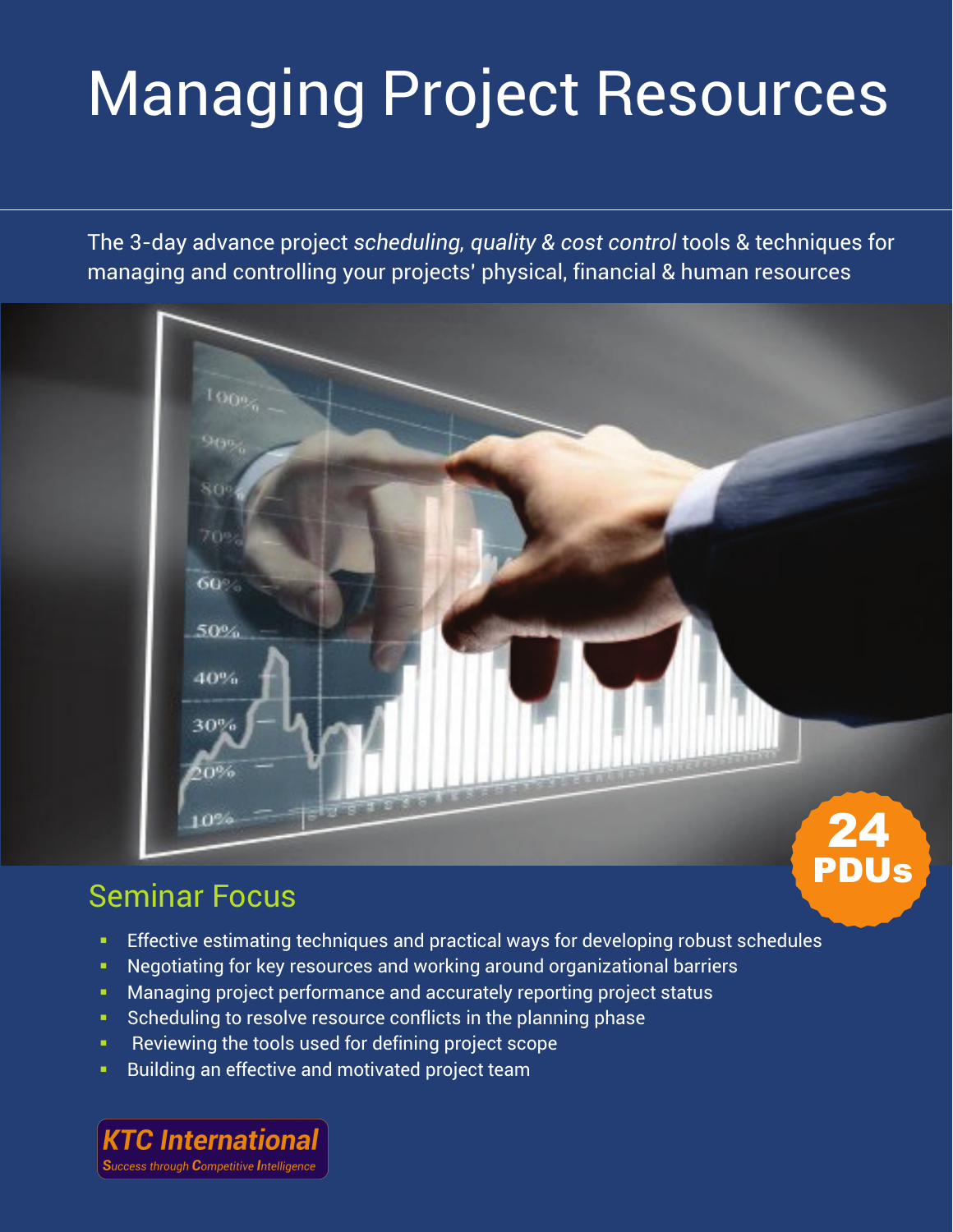# Managing Project Resources

The 3-day advance project *scheduling, quality & cost control* tools & techniques for managing and controlling your projects' physical, financial & human resources

## 80  $70s$ 60% 50% 40% 30% 50% 10% 24 PDUs

## Seminar Focus

- Effective estimating techniques and practical ways for developing robust schedules
- **Negotiating for key resources and working around organizational barriers**
- **Managing project performance and accurately reporting project status**
- Scheduling to resolve resource conflicts in the planning phase
- Reviewing the tools used for defining project scope
- **Building an effective and motivated project team**

**KTC International Success through Competitive Intelligence**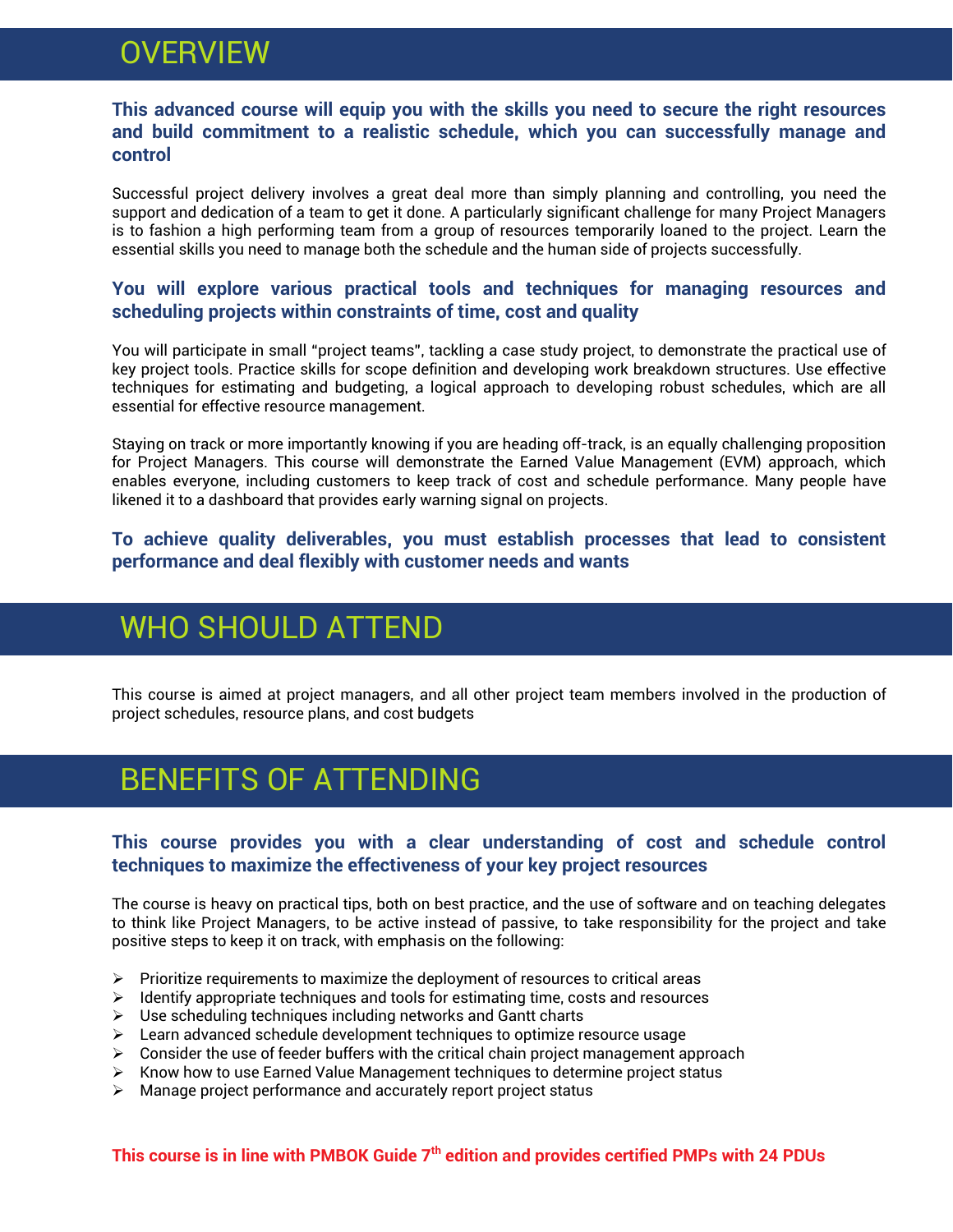## **OVERVIEW**

#### **This advanced course will equip you with the skills you need to secure the right resources and build commitment to a realistic schedule, which you can successfully manage and control**

Successful project delivery involves a great deal more than simply planning and controlling, you need the support and dedication of a team to get it done. A particularly significant challenge for many Project Managers is to fashion a high performing team from a group of resources temporarily loaned to the project. Learn the essential skills you need to manage both the schedule and the human side of projects successfully.

#### **You will explore various practical tools and techniques for managing resources and scheduling projects within constraints of time, cost and quality**

You will participate in small "project teams", tackling a case study project, to demonstrate the practical use of key project tools. Practice skills for scope definition and developing work breakdown structures. Use effective techniques for estimating and budgeting, a logical approach to developing robust schedules, which are all essential for effective resource management.

Staying on track or more importantly knowing if you are heading off-track, is an equally challenging proposition for Project Managers. This course will demonstrate the Earned Value Management (EVM) approach, which enables everyone, including customers to keep track of cost and schedule performance. Many people have likened it to a dashboard that provides early warning signal on projects.

#### **To achieve quality deliverables, you must establish processes that lead to consistent performance and deal flexibly with customer needs and wants**

## WHO SHOULD ATTEND

This course is aimed at project managers, and all other project team members involved in the production of project schedules, resource plans, and cost budgets

## BENEFITS OF ATTENDING

#### **This course provides you with a clear understanding of cost and schedule control techniques to maximize the effectiveness of your key project resources**

The course is heavy on practical tips, both on best practice, and the use of software and on teaching delegates to think like Project Managers, to be active instead of passive, to take responsibility for the project and take positive steps to keep it on track, with emphasis on the following:

- $\triangleright$  Prioritize requirements to maximize the deployment of resources to critical areas
- $\triangleright$  Identify appropriate techniques and tools for estimating time, costs and resources
- $\triangleright$  Use scheduling techniques including networks and Gantt charts
- $\triangleright$  Learn advanced schedule development techniques to optimize resource usage
- $\triangleright$  Consider the use of feeder buffers with the critical chain project management approach
- $\triangleright$  Know how to use Earned Value Management techniques to determine project status
- $\triangleright$  Manage project performance and accurately report project status